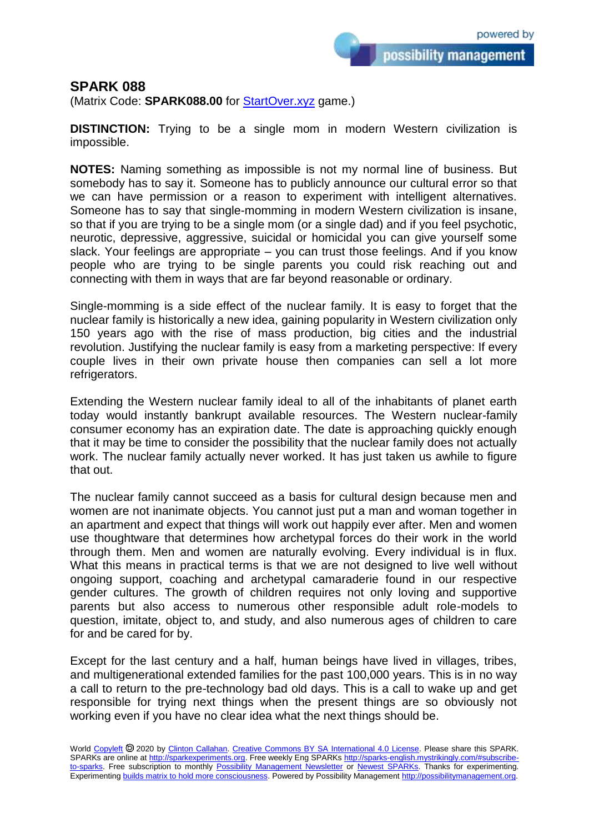possibility management

## **SPARK 088**

(Matrix Code: **SPARK088.00** for [StartOver.xyz](https://startoverxyz.mystrikingly.com/) game.)

**DISTINCTION:** Trying to be a single mom in modern Western civilization is impossible.

**NOTES:** Naming something as impossible is not my normal line of business. But somebody has to say it. Someone has to publicly announce our cultural error so that we can have permission or a reason to experiment with intelligent alternatives. Someone has to say that single-momming in modern Western civilization is insane, so that if you are trying to be a single mom (or a single dad) and if you feel psychotic, neurotic, depressive, aggressive, suicidal or homicidal you can give yourself some slack. Your feelings are appropriate – you can trust those feelings. And if you know people who are trying to be single parents you could risk reaching out and connecting with them in ways that are far beyond reasonable or ordinary.

Single-momming is a side effect of the nuclear family. It is easy to forget that the nuclear family is historically a new idea, gaining popularity in Western civilization only 150 years ago with the rise of mass production, big cities and the industrial revolution. Justifying the nuclear family is easy from a marketing perspective: If every couple lives in their own private house then companies can sell a lot more refrigerators.

Extending the Western nuclear family ideal to all of the inhabitants of planet earth today would instantly bankrupt available resources. The Western nuclear-family consumer economy has an expiration date. The date is approaching quickly enough that it may be time to consider the possibility that the nuclear family does not actually work. The nuclear family actually never worked. It has just taken us awhile to figure that out.

The nuclear family cannot succeed as a basis for cultural design because men and women are not inanimate objects. You cannot just put a man and woman together in an apartment and expect that things will work out happily ever after. Men and women use thoughtware that determines how archetypal forces do their work in the world through them. Men and women are naturally evolving. Every individual is in flux. What this means in practical terms is that we are not designed to live well without ongoing support, coaching and archetypal camaraderie found in our respective gender cultures. The growth of children requires not only loving and supportive parents but also access to numerous other responsible adult role-models to question, imitate, object to, and study, and also numerous ages of children to care for and be cared for by.

Except for the last century and a half, human beings have lived in villages, tribes, and multigenerational extended families for the past 100,000 years. This is in no way a call to return to the pre-technology bad old days. This is a call to wake up and get responsible for trying next things when the present things are so obviously not working even if you have no clear idea what the next things should be.